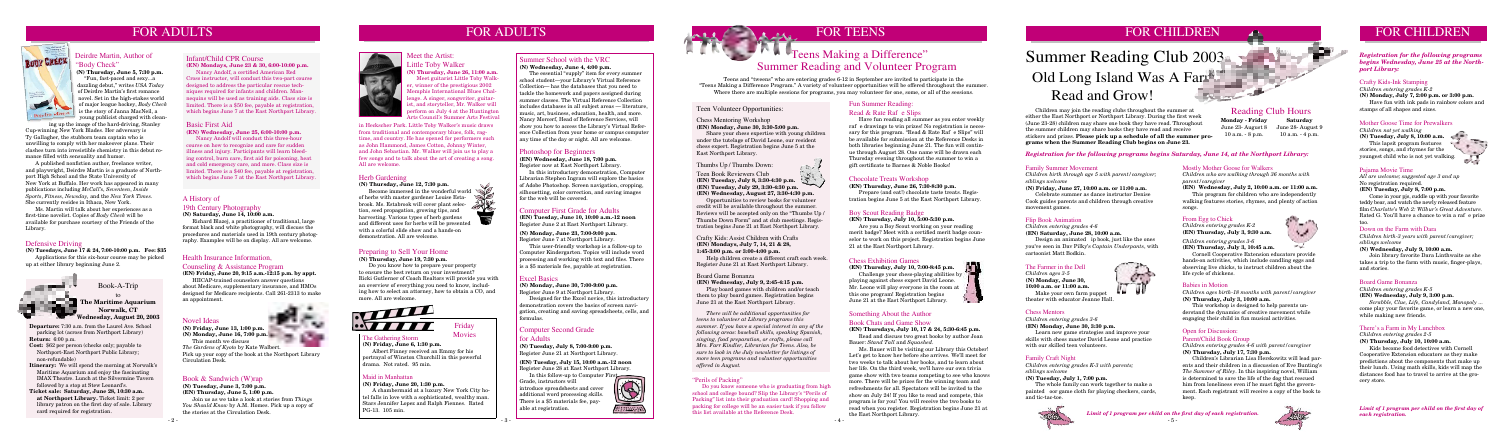# FOR ADULTS



**Departure:** 7:30 a.m. from the Laurel Ave. School parking lot (across from Northport Library) **Return:** 6:00 p.m.

**Cost:** \$62 per person (checks only; payable to Northport-East Northport Public Library; non-refundable)

**Itinerary:** We will spend the morning at Norwalk's Maritime Aquarium and enjoy the fascinating IMAX Theatre. Lunch at the Silvermine Tavern followed by a stop at Stew Leonard's.

**Ticket sale: Saturday, June 28, 10:30 a.m. at Northport Library.** Ticket limit: 2 per library patron on the first day of sale. Library card required for registration.

Book-A-Trip

to **The Maritime Aquarium Norwalk, CT Wednesday, August 20, 2003**

### Health Insurance Information,

### Counseling & Assistance Program

**(EN) Friday, June 20, 9:15 a.m.-12:15 p.m. by appt.**

HIICAP-trained counselors answer questions about Medicare, supplementary insurance, and HMOs designed for Medicare recipients. Call 261-2313 to make an appointment.

# FOR TEENS FOR CHILDREN FOR CHILDREN

### Computer First Grade for Adults

**(EN) Tuesday, June 10, 10:00 a.m.-12 noon** Register June 2 at East Northport Library.

### **(N) Monday, June 23, 7:00-9:00 p.m.**

Register June 7 at Northport Library. This user-friendly workshop is a follow-up to Computer Kindergarten. Topics will include word processing and working with text and files. There is a \$5 materials fee, payable at registration.

**Nancy Andolf will conduct this three-hour** course on how to recognize and care for sudden illness and injury. Participants will learn bleeding control, burn care, first aid for poisoning, heat and cold emergency care, and more. Class size is limited. There is a \$40 fee, payable at registration, which begins June 7 at the East Northport Library.

### Chess Mentoring Workshop **(EN) Monday, June 30, 3:30-5:00 p.m.**

 Share your chess expertise with young children under the tutelage of David Leone, our resident chess expert. Registration begins June 5 at the East Northport Library.

### Thumbs Up / Thumbs Down:

- Teen Book Reviewers Club
- **(EN) Tuesday, July 8, 3:30-4:30 p.m.**
- **(EN) Tuesday, July 29, 3:30-4:30 p.m.**
- **(EN) Wednesday, August 27, 3:30-4:30 p.m.**

**Become immersed in the wonderful world** of herbs with master gardener Louise Estabrook. Ms. Estabrook will cover plant selection, seed propagation, growing tips, and harvesting. Various types of herb gardens and different uses for herbs will be presented with a colorful slide show and a hands-on demonstration. All are welcome.



Opportunities to review books for volunteer credit will be available throughout the summer. Reviews will be accepted only on the "Thumbs Up / Thumbs Down Form" and at club meetings. Registration begins June 21 at East Northport Library.

### Photoshop for Beginners

In this follow-up to Computer First Grade, instructors will introduce spreadsheets and cover additional word processing skills. There is a \$5 materials fee, payable at registration.



# OH BASK The Teens Making a Difference"

**(EN) Wednesday, June 18, 7:00 p.m.** Register now at East Northport Library.

In this introductory demonstration, Computer Librarian Stephen Ingram will explore the basics of Adobe Photoshop. Screen navigation, cropping, silhouetting, color correction, and saving images for the web will be covered.

### Basic First Aid

**(EN) Wednesday, June 25, 6:00-10:00 p.m.** 

### Infant/Child CPR Course

**(EN) Mondays, June 23 & 30, 6:00-10:00 p.m.** 

Nancy Andolf, a certified American Red Cross instructor, will conduct this two-part course designed to address the particular rescue techniques required for infants and children. Mannequins will be used as training aids. Class size is limited. There is a \$50 fee, payable at registration, which begins June 7 at the East Northport Library.

### Herb Gardening

### **(N) Thursday, June 12, 7:30 p.m.**

### A History of

### 19th Century Photography

**(N) Saturday, June 14, 10:00 a.m.**

Richard Blazej, a practitioner of traditional, large format black and white photography, will discuss the procedures and materials used in 19th century photography. Examples will be on display. All are welcome.

### Computer Second Grade for Adults

**(N) Tuesday, July 8, 7:00-9:00 p.m.** Register June 21 at Northport Library.

### **(EN) Tuesday, July 15, 10:00 a.m.-12 noon** Register June 28 at East Northport Library.

# Novel Ideas

**(N) Friday, June 13, 1:00 p.m.**



This month we discuss

*The Gardens of Kyoto* by Kate Walbert. Pick up your copy of the book at the Northport Library Circulation Desk.

### Book & Sandwich (W)rap

**(N) Tuesday, June 3, 7:00 p.m.**

**(EN) Thursday, June 5, 1:00 p.m.**

Join us as we take a look at stories from *Things You Should Know* by A.M. Homes. Pick up a copy of the stories at the Circulation Desk.

### Maid in Manhattan

### **(N) Friday, June 20, 1:30 p.m.**

A chambermaid at a luxury New York City hotel falls in love with a sophisticated, wealthy man. Stars Jennifer Lopez and Ralph Fiennes. Rated PG-13. 105 min.

Friday

### Movies The Gathering Storm **(N) Friday, June 6, 1:30 p.m.**

Albert Finney received an Emmy for his portrayal of Winston Churchill in this powerful drama. Not rated. 95 min.

### Defensive Driving

**(N) Tuesdays, June 17 & 24, 7:00-10:00 p.m. Fee: \$35**  Applications for this six-hour course may be picked up at either library beginning June 2.



# Summer Reading and Volunteer Program

Design an animated ip book, just like the ones you've seen in Dav Pilky's *Captain Underpants*, with

Teens and "tweens" who are entering grades 6-12 in September are invited to participate in the "Teens Making a Difference Program." A variety of volunteer opportunities will be offered throughout the summer. Where there are multiple sessions for programs, you may volunteer for one, some, or all of the sessions.

### Crafty Kids: Assist Children with Crafts **(EN) Mondays, July 7, 14, 21 & 28, 1:45-3:00 p.m. or 3:00-4:00 p.m.**

Help children create a different craft each week. Register June 21 at East Northport Library.

### Board Game Bonanza

**(EN) Wednesday, July 9, 2:45-4:15 p.m.**

Play board games with children and/or teach them to play board games. Registration begins June 21 at the East Northport Library.

# Old Long Island Was A Farm... Read and Grow! Summer Reading Club 2003

- 5 - *Limit of 1 program per child on the first day of each registration.*

 *There will be additional opportunities for teens to volunteer at Library programs this summer. If you have a special interest in any of the following areas: baseball skills, speaking Spanish, singing, food preparation, or crafts, please call Mrs. Farr Kindler, Librarian for Teens. Also, be sure to look in the July newsletter for listings of more teen programs and volunteer opportunities offered in August.*

### "Perils of Packing"

# Fun Summer Reading:

### Read  $& Rate$  Rafe Slips

 Have fun reading all summer as you enter weekly raf e drawings to win prizes! No registration is necessary for this program. "Read  $& Rate \; Raf \; e \; Slips"$  will be available for submission at the Reference Desks in both libraries beginning June 21. The fun will continue through August 28. One name will be drawn each Thursday evening throughout the summer to win a gift certificate to Barnes & Noble Books!



### Chocolate Treats Workshop

**(EN) Thursday, June 26, 7:30-8:30 p.m.** Prepare (and eat!) chocolate taste treats. Registration begins June 5 at the East Northport Library.

### Something About the Author Book Chats and Game Show

**(EN) Thursdays, July 10, 17 & 24, 5:30-6:45 p.m.** Read and discuss two great books by author Joan Bauer: *Stand Tall* and *Squashed*.

 Ms. Bauer will be visiting our Library this October! Let's get to know her before she arrives. We'll meet for two weeks to talk about her books, and to learn about her life. On the third week, we'll have our own trivia game show with two teams competing to see who knows more. There will be prizes for the winning team and refreshments for all. Spectators will be invited to the show on July 24! If you like to read and compete, this program is for you! You will receive the two books to read when you register. Registration begins June 21 at the East Northport Library.

### Boy Scout Reading Badge

### **(EN) Thursday, July 10, 5:00-5:30 p.m.**

 Are you a Boy Scout working on your reading merit badge? Meet with a certified merit badge counselor to work on this project. Registration begins June 21 at the East Northport Library.

# FOR ADULTS

### Pajama Movie Time

*All are welcome; suggested age 3 and up* No registration required.

### **(EN) Tuesday, July 8, 7:00 p.m.**

 Come in your pjs, cuddle up with your favorite teddy bear, and watch the newly released feature film *Charlotte's Web 2: Wilbur's Great Adventure*. Rated G. You'll have a chance to win a rafe prize too.

### Mother Goose Time for Prewalkers

*Children not yet walking* **(N)** Tuesday, July 8, 10:00 a.m. This lapsit program features stories, songs, and rhymes for the youngest child who is not yet walking.



### Crafty Kids-Ink Stamping

*Children entering grades K-2* **(N) Monday, July 7, 2:00 p.m. or 3:00 p.m.** Have fun with ink pads in rainbow colors and stamps of all shapes and sizes.

*Registration for the following programs begins Wednesday, June 25 at the Northport Library:*

# Open for Discussion:

### Parent/Child Book Group

*Children entering grades 4-6 with parent/caregiver* **(N) Thursday, July 17, 7:30 p.m.**

 Children's Librarian Lisa Herskowitz will lead parents and their children in a discussion of Eve Bunting's *The Summer of Riley*. In this inspiring novel, William is determined to save the life of the dog that rescued him from loneliness even if he must fight the government. Each registrant will receive a copy of the book to keep.







### Babies in Motion

*Children ages birth-18 months with parent/caregiver* **(N) Thursday, July 3, 10:00 a.m.**

 This workshop is designed to help parents understand the dynamics of creative movement while engaging their child in fun musical activities.

### From Egg to Chick

*Children entering grades K-2* **(EN) Thursday, July 3, 9:30 a.m.**

*Children entering grades 3-6*

**(EN) Thursday, July 3, 10:45 a.m.**

 Cornell Cooperative Extension educators provide hands-on activities, which include candling eggs and observing live chicks, to instruct children about the life cycle of chickens.

Mostly Mother Goose for Walkers *Children who are walking through 36 months with parent/caregiver*

**(EN) Wednesday, July 2, 10:00 a.m. or 11:00 a.m.**

 This program for children who are independently walking features stories, rhymes, and plenty of action songs.

### Family Craft Night

*Children entering grades K-3 with parents; siblings welcome*

### **(N) Tuesday, July 1, 7:00 p.m.**

 The whole family can work together to make a painted oor game cloth for playing checkers, cards, and tic-tac-toe.

### Chess Mentors

*Children entering grades 3-6* **(EN) Monday, June 30, 3:30 p.m.**

 Learn new game strategies and improve your skills with chess master David Leone and practice with our skilled teen volunteers.

The Farmer in the Dell *Children ages 3-5* **(N) Monday, June 30, 10:00 a.m. or 11:00 a.m.**

 Make your own farm puppet theater with educator Jeanne Hall.

Flip Book Animation

*Children entering grades 4-6*

**(EN) Saturday, June 28, 10:00 a.m.** 

cartoonist Matt Bodkin.

Family Summer Movement

*Children birth through age 5 with parent/caregiver;* 

*siblings welcome*

**(N) Friday, June 27, 10:00 a.m. or 11:00 a.m.** Celebrate summer as dance instructor Denise Cook guides parents and children through creative

movement games.

*Registration for the following programs begins Saturday, June 14, at the Northport Library:*

### There's a Farm in My Lunchbox

*Children entering grades 2-5*

**(N) Thursday, July 10, 10:00 a.m.**

 Kids become food detectives with Cornell Cooperative Extension educators as they make predictions about the components that make up their lunch. Using math skills, kids will map the distances food has to travel to arrive at the grocery store.

### Board Game Bonanza

### *Children entering grades K-5* **(EN) Wednesday, July 9, 3:00 p.m.**

 *Scrabble, Clue, Life, Candyland, Monopoly* ... come play your favorite game, or learn a new one, while making new friends.

### Down on the Farm with Dara

*Children birth-3 years with parent/caregiver; siblings welcome*

**(N) Wednesday, July 9, 10:00 a.m.**

 Join library favorite Dara Linthwaite as she takes a trip to the farm with music, finger-plays, and stories.

 Children may join the reading clubs throughout the summer at either the East Northport or Northport Library. During the first week (June 23-28) children may share one book they have read. Throughout the summer children may share books they have read and receive stickers and prizes. **Please pick up a schedule of all the summer programs when the Summer Reading Club begins on June 23.**

**Monday - Friday** June 23- August 8 June 28- August 9 10 a.m. - 8 p.m. 10 a.m. - 4 p.m.

**Saturday**

# Reading Club Hours

*Limit of 1 program per child on the first day of each registration.*

**OB** 

### Chess Exhibition Games

**(EN) Thursday, July 10, 7:00-8:45 p.m.** Challenge your chess-playing abilities by

playing against chess expert David Leone. Mr. Leone will play everyone in the room at this one program! Registration begins June 21 at the East Northport Library.



### Excel Basics

**(N) Monday, June 30, 7:00-9:00 p.m.** Register June 9 at Northport Library.

 Designed for the Excel novice, this introductory demonstration covers the basics of screen navigation, creating and saving spreadsheets, cells, and formulas.

# Summer School with the VRC

**(N) Wednesday, June 4, 4:00 p.m.**

The essential "supply" item for every summer school student—your Library's Virtual Reference Collection— has the databases that you need to tackle the homework and papers assigned during summer classes. The Virtual Reference Collection includes databases in all subject areas — literature, music, art, business, education, health, and more. Nancy Morcerf, Head of Reference Services, will show you how to access the Library's Virtual Reference Collection from your home or campus computer any time of the day or night. All are welcome.

### Preparing to Sell Your Home

**(N) Thursday, June 19, 7:30 p.m.**

Do you know how to prepare your property to ensure the best return on your investment? Ricki Gutlerner of Coach Realtors will provide you with an overview of everything you need to know, including how to select an attorney, how to obtain a CO, and more. All are welcome.



### Teen Volunteer Opportunities:

## Deirdre Martin, Author of "Body Check"

**(N) Thursday, June 5, 7:30 p.m.** "Fun, fast-paced and sexy...a dazzling debut," writes *USA Today* of Deirdre Martin's first romance novel. Set in the high-stakes world of major league hockey, *Body Check* is the story of Janna MacNeil, a young publicist charged with clean-

ing up the image of the hard-driving, Stanley Cup-winning New York Blades. Her adversary is Ty Gallagher, the stubborn team captain who is unwilling to comply with her makeover plans. Their clashes turn into irresistible chemistry in this debut romance filled with sensuality and humor.

 A published nonfiction author, freelance writer, and playwright, Deirdre Martin is a graduate of Northport High School and the State University of New York at Buffalo. Her work has appeared in many publications including *McCall's*, *Seventeen*, *Inside Sports*, *Fitness*, *Newsday,* and the *New York Times*. She currently resides in Ithaca, New York.

 Ms. Martin will talk about her experiences as a first-time novelist. Copies of *Body Check* will be available for purchase courtesy of the Friends of the Library.

# Meet the Artist: Little Toby Walker **(N) Thursday, June 26, 11:00 a.m.**



in Heckscher Park. Little Toby Walker's music draws from traditional and contemporary blues, folk, ragtime, and country. He has opened for performers such as John Hammond, James Cotton, Johnny Winter, and John Sebastian. Mr. Walker will join us to play a few songs and to talk about the art of creating a song. All are welcome.

> Do you know someone who is graduating from high school and college bound? Slip the Library's "Perils of Packing" list into their graduation card! Shopping and packing for college will be an easier task if you follow this list available at the Reference Desk.